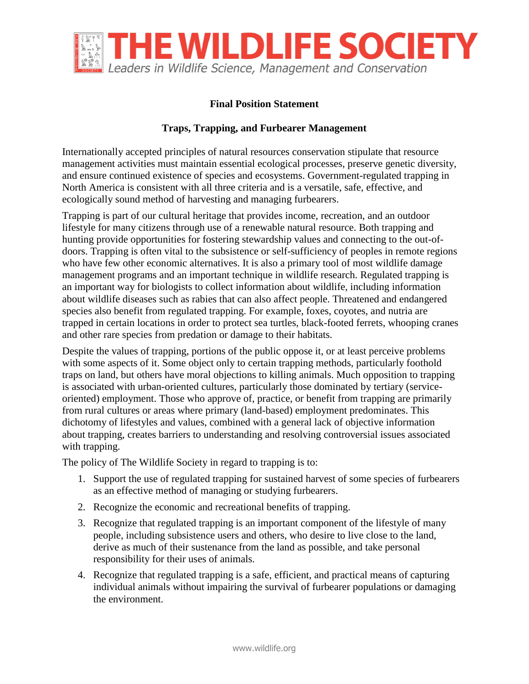

## **Final Position Statement**

## **Traps, Trapping, and Furbearer Management**

Internationally accepted principles of natural resources conservation stipulate that resource management activities must maintain essential ecological processes, preserve genetic diversity, and ensure continued existence of species and ecosystems. Government-regulated trapping in North America is consistent with all three criteria and is a versatile, safe, effective, and ecologically sound method of harvesting and managing furbearers.

Trapping is part of our cultural heritage that provides income, recreation, and an outdoor lifestyle for many citizens through use of a renewable natural resource. Both trapping and hunting provide opportunities for fostering stewardship values and connecting to the out-ofdoors. Trapping is often vital to the subsistence or self-sufficiency of peoples in remote regions who have few other economic alternatives. It is also a primary tool of most wildlife damage management programs and an important technique in wildlife research. Regulated trapping is an important way for biologists to collect information about wildlife, including information about wildlife diseases such as rabies that can also affect people. Threatened and endangered species also benefit from regulated trapping. For example, foxes, coyotes, and nutria are trapped in certain locations in order to protect sea turtles, black-footed ferrets, whooping cranes and other rare species from predation or damage to their habitats.

Despite the values of trapping, portions of the public oppose it, or at least perceive problems with some aspects of it. Some object only to certain trapping methods, particularly foothold traps on land, but others have moral objections to killing animals. Much opposition to trapping is associated with urban-oriented cultures, particularly those dominated by tertiary (serviceoriented) employment. Those who approve of, practice, or benefit from trapping are primarily from rural cultures or areas where primary (land-based) employment predominates. This dichotomy of lifestyles and values, combined with a general lack of objective information about trapping, creates barriers to understanding and resolving controversial issues associated with trapping.

The policy of The Wildlife Society in regard to trapping is to:

- 1. Support the use of regulated trapping for sustained harvest of some species of furbearers as an effective method of managing or studying furbearers.
- 2. Recognize the economic and recreational benefits of trapping.
- 3. Recognize that regulated trapping is an important component of the lifestyle of many people, including subsistence users and others, who desire to live close to the land, derive as much of their sustenance from the land as possible, and take personal responsibility for their uses of animals.
- 4. Recognize that regulated trapping is a safe, efficient, and practical means of capturing individual animals without impairing the survival of furbearer populations or damaging the environment.